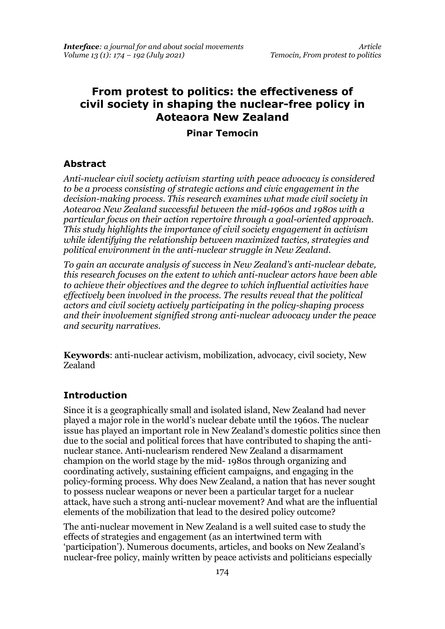# **From protest to politics: the effectiveness of civil society in shaping the nuclear-free policy in Aoteaora New Zealand**

#### **Pinar Temocin**

#### **Abstract**

*Anti-nuclear civil society activism starting with peace advocacy is considered to be a process consisting of strategic actions and civic engagement in the decision-making process. This research examines what made civil society in Aotearoa New Zealand successful between the mid-1960s and 1980s with a particular focus on their action repertoire through a goal-oriented approach. This study highlights the importance of civil society engagement in activism while identifying the relationship between maximized tactics, strategies and political environment in the anti-nuclear struggle in New Zealand.*

*To gain an accurate analysis of success in New Zealand's anti-nuclear debate, this research focuses on the extent to which anti-nuclear actors have been able to achieve their objectives and the degree to which influential activities have effectively been involved in the process. The results reveal that the political actors and civil society actively participating in the policy-shaping process and their involvement signified strong anti-nuclear advocacy under the peace and security narratives.*

**Keywords**: anti-nuclear activism, mobilization, advocacy, civil society, New Zealand

#### **Introduction**

Since it is a geographically small and isolated island, New Zealand had never played a major role in the world's nuclear debate until the 1960s. The nuclear issue has played an important role in New Zealand's domestic politics since then due to the social and political forces that have contributed to shaping the antinuclear stance. Anti-nuclearism rendered New Zealand a disarmament champion on the world stage by the mid- 1980s through organizing and coordinating actively, sustaining efficient campaigns, and engaging in the policy-forming process. Why does New Zealand, a nation that has never sought to possess nuclear weapons or never been a particular target for a nuclear attack, have such a strong anti-nuclear movement? And what are the influential elements of the mobilization that lead to the desired policy outcome?

The anti-nuclear movement in New Zealand is a well suited case to study the effects of strategies and engagement (as an intertwined term with 'participation'). Numerous documents, articles, and books on New Zealand's nuclear-free policy, mainly written by peace activists and politicians especially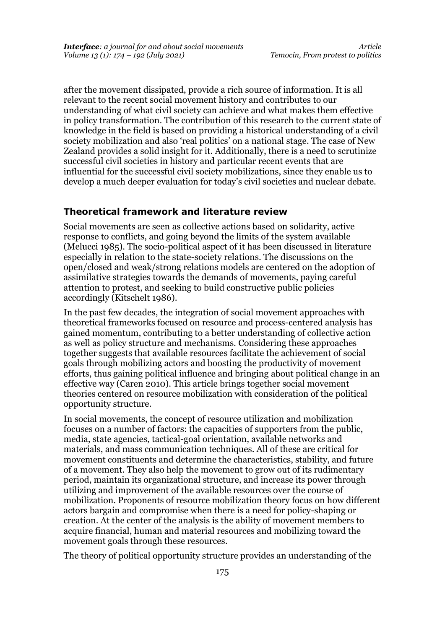after the movement dissipated, provide a rich source of information. It is all relevant to the recent social movement history and contributes to our understanding of what civil society can achieve and what makes them effective in policy transformation. The contribution of this research to the current state of knowledge in the field is based on providing a historical understanding of a civil society mobilization and also 'real politics' on a national stage. The case of New Zealand provides a solid insight for it. Additionally, there is a need to scrutinize successful civil societies in history and particular recent events that are influential for the successful civil society mobilizations, since they enable us to develop a much deeper evaluation for today's civil societies and nuclear debate.

## **Theoretical framework and literature review**

Social movements are seen as collective actions based on solidarity, active response to conflicts, and going beyond the limits of the system available (Melucci 1985). The socio-political aspect of it has been discussed in literature especially in relation to the state-society relations. The discussions on the open/closed and weak/strong relations models are centered on the adoption of assimilative strategies towards the demands of movements, paying careful attention to protest, and seeking to build constructive public policies accordingly (Kitschelt 1986).

In the past few decades, the integration of social movement approaches with theoretical frameworks focused on resource and process-centered analysis has gained momentum, contributing to a better understanding of collective action as well as policy structure and mechanisms. Considering these approaches together suggests that available resources facilitate the achievement of social goals through mobilizing actors and boosting the productivity of movement efforts, thus gaining political influence and bringing about political change in an effective way (Caren 2010). This article brings together social movement theories centered on resource mobilization with consideration of the political opportunity structure.

In social movements, the concept of resource utilization and mobilization focuses on a number of factors: the capacities of supporters from the public, media, state agencies, tactical-goal orientation, available networks and materials, and mass communication techniques. All of these are critical for movement constituents and determine the characteristics, stability, and future of a movement. They also help the movement to grow out of its rudimentary period, maintain its organizational structure, and increase its power through utilizing and improvement of the available resources over the course of mobilization. Proponents of resource mobilization theory focus on how different actors bargain and compromise when there is a need for policy-shaping or creation. At the center of the analysis is the ability of movement members to acquire financial, human and material resources and mobilizing toward the movement goals through these resources.

The theory of political opportunity structure provides an understanding of the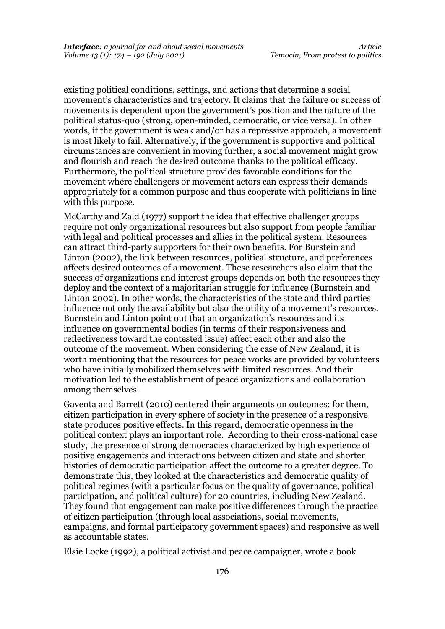existing political conditions, settings, and actions that determine a social movement's characteristics and trajectory. It claims that the failure or success of movements is dependent upon the government's position and the nature of the political status-quo (strong, open-minded, democratic, or vice versa). In other words, if the government is weak and/or has a repressive approach, a movement is most likely to fail. Alternatively, if the government is supportive and political circumstances are convenient in moving further, a social movement might grow and flourish and reach the desired outcome thanks to the political efficacy. Furthermore, the political structure provides favorable conditions for the movement where challengers or movement actors can express their demands appropriately for a common purpose and thus cooperate with politicians in line with this purpose.

McCarthy and Zald (1977) support the idea that effective challenger groups require not only organizational resources but also support from people familiar with legal and political processes and allies in the political system. Resources can attract third-party supporters for their own benefits. For Burstein and Linton (2002), the link between resources, political structure, and preferences affects desired outcomes of a movement. These researchers also claim that the success of organizations and interest groups depends on both the resources they deploy and the context of a majoritarian struggle for influence (Burnstein and Linton 2002). In other words, the characteristics of the state and third parties influence not only the availability but also the utility of a movement's resources. Burnstein and Linton point out that an organization's resources and its influence on governmental bodies (in terms of their responsiveness and reflectiveness toward the contested issue) affect each other and also the outcome of the movement. When considering the case of New Zealand, it is worth mentioning that the resources for peace works are provided by volunteers who have initially mobilized themselves with limited resources. And their motivation led to the establishment of peace organizations and collaboration among themselves.

Gaventa and Barrett (2010) centered their arguments on outcomes; for them, citizen participation in every sphere of society in the presence of a responsive state produces positive effects. In this regard, democratic openness in the political context plays an important role. According to their cross-national case study, the presence of strong democracies characterized by high experience of positive engagements and interactions between citizen and state and shorter histories of democratic participation affect the outcome to a greater degree. To demonstrate this, they looked at the characteristics and democratic quality of political regimes (with a particular focus on the quality of governance, political participation, and political culture) for 20 countries, including New Zealand. They found that engagement can make positive differences through the practice of citizen participation (through local associations, social movements, campaigns, and formal participatory government spaces) and responsive as well as accountable states.

Elsie Locke (1992), a political activist and peace campaigner, wrote a book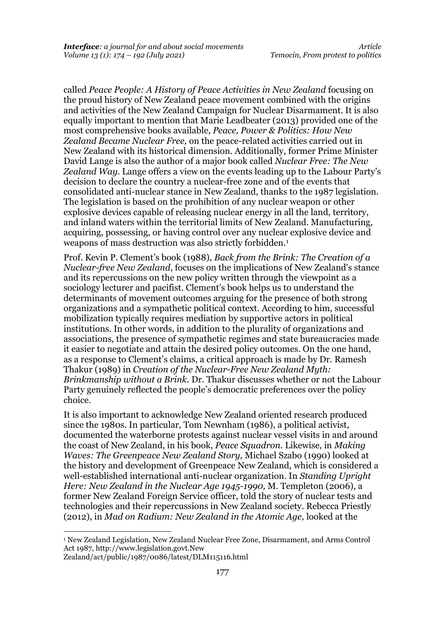called *Peace People: A History of Peace Activities in New Zealand* focusing on the proud history of New Zealand peace movement combined with the origins and activities of the New Zealand Campaign for Nuclear Disarmament. It is also equally important to mention that Marie Leadbeater (2013) provided one of the most comprehensive books available, *Peace, Power & Politics: How New Zealand Became Nuclear Free,* on the peace-related activities carried out in New Zealand with its historical dimension. Additionally, former Prime Minister David Lange is also the author of a major book called *Nuclear Free: The New Zealand Way*. Lange offers a view on the events leading up to the Labour Party's decision to declare the country a nuclear-free zone and of the events that consolidated anti-nuclear stance in New Zealand, thanks to the 1987 legislation. The legislation is based on the prohibition of any nuclear weapon or other explosive devices capable of releasing nuclear energy in all the land, territory, and inland waters within the territorial limits of New Zealand. Manufacturing, acquiring, possessing, or having control over any nuclear explosive device and weapons of mass destruction was also strictly forbidden.<sup>1</sup>

Prof. Kevin P. Clement's book (1988), *Back from the Brink: The Creation of a Nuclear-free New Zealand*, focuses on the implications of New Zealand's stance and its repercussions on the new policy written through the viewpoint as a sociology lecturer and pacifist. Clement's book helps us to understand the determinants of movement outcomes arguing for the presence of both strong organizations and a sympathetic political context. According to him, successful mobilization typically requires mediation by supportive actors in political institutions. In other words, in addition to the plurality of organizations and associations, the presence of sympathetic regimes and state bureaucracies made it easier to negotiate and attain the desired policy outcomes. On the one hand, as a response to Clement's claims, a critical approach is made by Dr. Ramesh Thakur (1989) in *Creation of the Nuclear-Free New Zealand Myth: Brinkmanship without a Brink.* Dr. Thakur discusses whether or not the Labour Party genuinely reflected the people's democratic preferences over the policy choice.

It is also important to acknowledge New Zealand oriented research produced since the 1980s. In particular, Tom Newnham (1986), a political activist, documented the waterborne protests against nuclear vessel visits in and around the coast of New Zealand, in his book, *Peace Squadron.* Likewise, in *Making Waves: The Greenpeace New Zealand Story,* Michael Szabo (1990) looked at the history and development of Greenpeace New Zealand, which is considered a well-established international anti-nuclear organization. In *Standing Upright Here: New Zealand in the Nuclear Age 1945-1990,* M. Templeton (2006), a former New Zealand Foreign Service officer, told the story of nuclear tests and technologies and their repercussions in New Zealand society. Rebecca Priestly (2012), in *Mad on Radium: New Zealand in the Atomic Age,* looked at the

<sup>1</sup> New Zealand Legislation, New Zealand Nuclear Free Zone, Disarmament, and Arms Control Act 1987, http://www.legislation.govt.New

Zealand/act/public/1987/0086/latest/DLM115116.html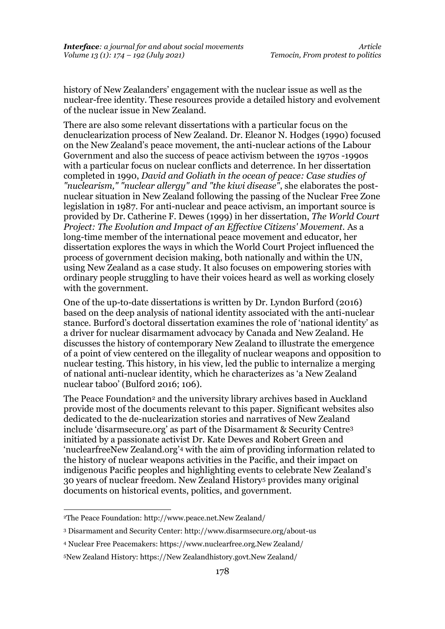history of New Zealanders' engagement with the nuclear issue as well as the nuclear-free identity. These resources provide a detailed history and evolvement of the nuclear issue in New Zealand.

There are also some relevant dissertations with a particular focus on the denuclearization process of New Zealand. Dr. Eleanor N. Hodges (1990) focused on the New Zealand's peace movement, the anti-nuclear actions of the Labour Government and also the success of peace activism between the 1970s -1990s with a particular focus on nuclear conflicts and deterrence. In her dissertation completed in 1990, *David and Goliath in the ocean of peace: Case studies of "nuclearism," "nuclear allergy" and "the kiwi disease"*, she elaborates the postnuclear situation in New Zealand following the passing of the Nuclear Free Zone legislation in 1987. For anti-nuclear and peace activism, an important source is provided by Dr. Catherine F. Dewes (1999) in her dissertation, *The World Court Project: The Evolution and Impact of an Effective Citizens' Movement.* As a long-time member of the international peace movement and educator, her dissertation explores the ways in which the World Court Project influenced the process of government decision making, both nationally and within the UN, using New Zealand as a case study. It also focuses on empowering stories with ordinary people struggling to have their voices heard as well as working closely with the government.

One of the up-to-date dissertations is written by Dr. Lyndon Burford (2016) based on the deep analysis of national identity associated with the anti-nuclear stance. Burford's doctoral dissertation examines the role of 'national identity' as a driver for nuclear disarmament advocacy by Canada and New Zealand. He discusses the history of contemporary New Zealand to illustrate the emergence of a point of view centered on the illegality of nuclear weapons and opposition to nuclear testing. This history, in his view, led the public to internalize a merging of national anti-nuclear identity, which he characterizes as 'a New Zealand nuclear taboo' (Bulford 2016; 106).

The Peace Foundation<sup>2</sup> and the university library archives based in Auckland provide most of the documents relevant to this paper. Significant websites also dedicated to the de-nuclearization stories and narratives of New Zealand include 'disarmsecure.org' as part of the Disarmament & Security Centre<sup>3</sup> initiated by a passionate activist Dr. Kate Dewes and Robert Green and 'nuclearfreeNew Zealand.org'<sup>4</sup> with the aim of providing information related to the history of nuclear weapons activities in the Pacific, and their impact on indigenous Pacific peoples and highlighting events to celebrate New Zealand's 30 years of nuclear freedom. New Zealand History<sup>5</sup> provides many original documents on historical events, politics, and government.

<sup>2</sup>The Peace Foundation[: http://www.peace.net.New Zealand/](http://www.peace.net.nz/)

<sup>3</sup> Disarmament and Security Center: http://www.disarmsecure.org/about-us

<sup>4</sup> Nuclear Free Peacemakers: https://www.nuclearfree.org.New Zealand/

<sup>5</sup>New Zealand History: [https://New Zealandhistory.govt.New Zealand/](https://nzhistory.govt.nz/)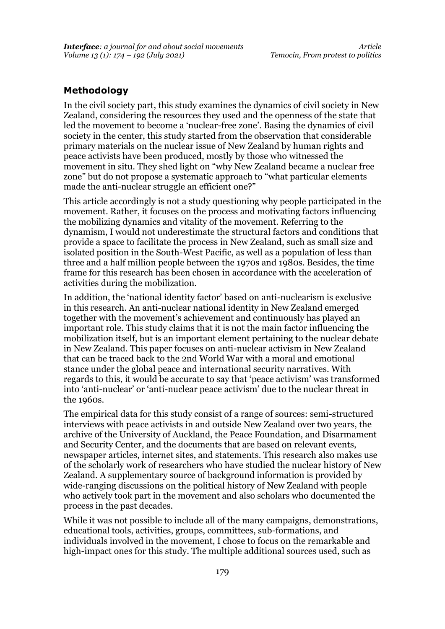# **Methodology**

In the civil society part, this study examines the dynamics of civil society in New Zealand, considering the resources they used and the openness of the state that led the movement to become a 'nuclear-free zone'. Basing the dynamics of civil society in the center, this study started from the observation that considerable primary materials on the nuclear issue of New Zealand by human rights and peace activists have been produced, mostly by those who witnessed the movement in situ. They shed light on "why New Zealand became a nuclear free zone" but do not propose a systematic approach to "what particular elements made the anti-nuclear struggle an efficient one?"

This article accordingly is not a study questioning why people participated in the movement. Rather, it focuses on the process and motivating factors influencing the mobilizing dynamics and vitality of the movement. Referring to the dynamism, I would not underestimate the structural factors and conditions that provide a space to facilitate the process in New Zealand, such as small size and isolated position in the South-West Pacific, as well as a population of less than three and a half million people between the 1970s and 1980s. Besides, the time frame for this research has been chosen in accordance with the acceleration of activities during the mobilization.

In addition, the 'national identity factor' based on anti-nuclearism is exclusive in this research. An anti-nuclear national identity in New Zealand emerged together with the movement's achievement and continuously has played an important role. This study claims that it is not the main factor influencing the mobilization itself, but is an important element pertaining to the nuclear debate in New Zealand. This paper focuses on anti-nuclear activism in New Zealand that can be traced back to the 2nd World War with a moral and emotional stance under the global peace and international security narratives. With regards to this, it would be accurate to say that 'peace activism' was transformed into 'anti-nuclear' or 'anti-nuclear peace activism' due to the nuclear threat in the 1960s.

The empirical data for this study consist of a range of sources: semi-structured interviews with peace activists in and outside New Zealand over two years, the archive of the University of Auckland, the Peace Foundation, and Disarmament and Security Center, and the documents that are based on relevant events, newspaper articles, internet sites, and statements. This research also makes use of the scholarly work of researchers who have studied the nuclear history of New Zealand. A supplementary source of background information is provided by wide-ranging discussions on the political history of New Zealand with people who actively took part in the movement and also scholars who documented the process in the past decades.

While it was not possible to include all of the many campaigns, demonstrations, educational tools, activities, groups, committees, sub-formations, and individuals involved in the movement, I chose to focus on the remarkable and high-impact ones for this study. The multiple additional sources used, such as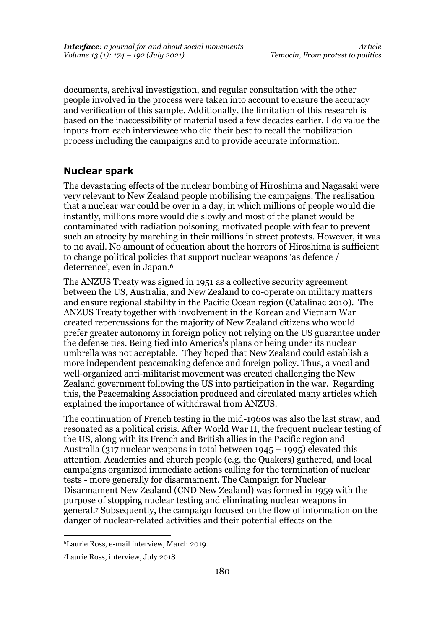documents, archival investigation, and regular consultation with the other people involved in the process were taken into account to ensure the accuracy and verification of this sample. Additionally, the limitation of this research is based on the inaccessibility of material used a few decades earlier. I do value the inputs from each interviewee who did their best to recall the mobilization process including the campaigns and to provide accurate information.

# **Nuclear spark**

The devastating effects of the nuclear bombing of Hiroshima and Nagasaki were very relevant to New Zealand people mobilising the campaigns. The realisation that a nuclear war could be over in a day, in which millions of people would die instantly, millions more would die slowly and most of the planet would be contaminated with radiation poisoning, motivated people with fear to prevent such an atrocity by marching in their millions in street protests. However, it was to no avail. No amount of education about the horrors of Hiroshima is sufficient to change political policies that support nuclear weapons 'as defence / deterrence', even in Japan.<sup>6</sup>

The ANZUS Treaty was signed in 1951 as a collective security agreement between the US, Australia, and New Zealand to co-operate on military matters and ensure regional stability in the Pacific Ocean region (Catalinac 2010). The ANZUS Treaty together with involvement in the Korean and Vietnam War created repercussions for the majority of New Zealand citizens who would prefer greater autonomy in foreign policy not relying on the US guarantee under the defense ties. Being tied into America's plans or being under its nuclear umbrella was not acceptable. They hoped that New Zealand could establish a more independent peacemaking defence and foreign policy. Thus, a vocal and well-organized anti-militarist movement was created challenging the New Zealand government following the US into participation in the war. Regarding this, the Peacemaking Association produced and circulated many articles which explained the importance of withdrawal from ANZUS.

The continuation of French testing in the mid-1960s was also the last straw, and resonated as a political crisis. After World War II, the frequent nuclear testing of the US, along with its French and British allies in the Pacific region and Australia (317 nuclear weapons in total between 1945 – 1995) elevated this attention. Academics and church people (e.g. the Quakers) gathered, and local campaigns organized immediate actions calling for the termination of nuclear tests - more generally for disarmament. The Campaign for Nuclear Disarmament New Zealand (CND New Zealand) was formed in 1959 with the purpose of stopping nuclear testing and eliminating nuclear weapons in general.<sup>7</sup> Subsequently, the campaign focused on the flow of information on the danger of nuclear-related activities and their potential effects on the

<sup>6</sup>Laurie Ross, e-mail interview, March 2019.

<sup>7</sup>Laurie Ross, interview, July 2018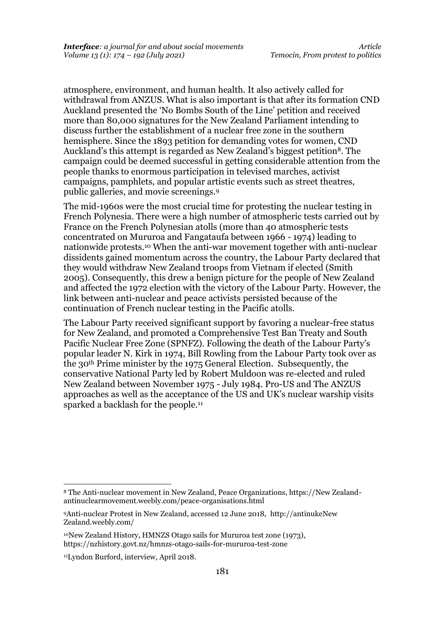atmosphere, environment, and human health. It also actively called for withdrawal from ANZUS. What is also important is that after its formation CND Auckland presented the 'No Bombs South of the Line' petition and received more than 80,000 signatures for the New Zealand Parliament intending to discuss further the establishment of a nuclear free zone in the southern hemisphere. Since the 1893 petition for demanding votes for women, CND Auckland's this attempt is regarded as New Zealand's biggest petition<sup>8</sup>. The campaign could be deemed successful in getting considerable attention from the people thanks to enormous participation in televised marches, activist campaigns, pamphlets, and popular artistic events such as street theatres, public galleries, and movie screenings.<sup>9</sup>

The mid-1960s were the most crucial time for protesting the nuclear testing in French Polynesia. There were a high number of atmospheric tests carried out by France on the French Polynesian atolls (more than 40 atmospheric tests concentrated on Mururoa and Fangataufa between 1966 - 1974) leading to nationwide protests.<sup>10</sup> When the anti-war movement together with anti-nuclear dissidents gained momentum across the country, the Labour Party declared that they would withdraw New Zealand troops from Vietnam if elected (Smith 2005). Consequently, this drew a benign picture for the people of New Zealand and affected the 1972 election with the victory of the Labour Party. However, the link between anti-nuclear and peace activists persisted because of the continuation of French nuclear testing in the Pacific atolls.

The Labour Party received significant support by favoring a nuclear-free status for New Zealand, and promoted a Comprehensive Test Ban Treaty and South Pacific Nuclear Free Zone (SPNFZ). Following the death of the Labour Party's popular leader N. Kirk in 1974, Bill Rowling from the Labour Party took over as the 30th Prime minister by the 1975 General Election. Subsequently, the conservative National Party led by Robert Muldoon was re-elected and ruled New Zealand between November 1975 - July 1984. Pro-US and The ANZUS approaches as well as the acceptance of the US and UK's nuclear warship visits sparked a backlash for the people.<sup>11</sup>

<sup>8</sup> The Anti-nuclear movement in New Zealand, Peace Organizations, https://New Zealandantinuclearmovement.weebly.com/peace-organisations.html

<sup>9</sup>Anti-nuclear Protest in New Zealand, accessed 12 June 2018, [http://antinukeNew](http://antinukenz.weebly.com/)  [Zealand.weebly.com/](http://antinukenz.weebly.com/)

<sup>10</sup>New Zealand History, HMNZS Otago sails for Mururoa test zone (1973), https://nzhistory.govt.nz/hmnzs-otago-sails-for-mururoa-test-zone

<sup>11</sup>Lyndon Burford, interview, April 2018.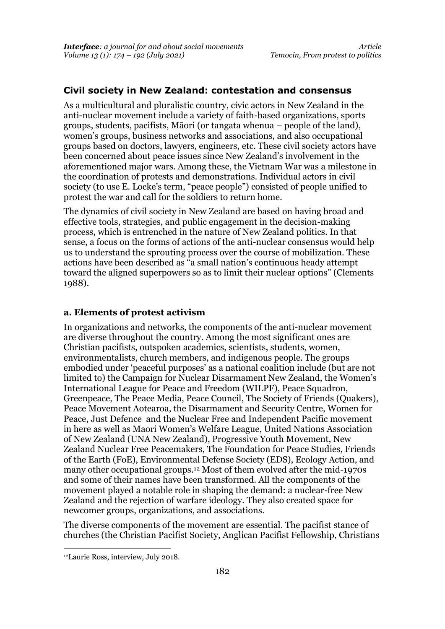## **Civil society in New Zealand: contestation and consensus**

As a multicultural and pluralistic country, civic actors in New Zealand in the anti-nuclear movement include a variety of faith-based organizations, sports groups, students, pacifists, Māori (or tangata whenua – people of the land), women's groups, business networks and associations, and also occupational groups based on doctors, lawyers, engineers, etc. These civil society actors have been concerned about peace issues since New Zealand's involvement in the aforementioned major wars. Among these, the Vietnam War was a milestone in the coordination of protests and demonstrations. Individual actors in civil society (to use E. Locke's term, "peace people") consisted of people unified to protest the war and call for the soldiers to return home.

The dynamics of civil society in New Zealand are based on having broad and effective tools, strategies, and public engagement in the decision-making process, which is entrenched in the nature of New Zealand politics. In that sense, a focus on the forms of actions of the anti-nuclear consensus would help us to understand the sprouting process over the course of mobilization. These actions have been described as "a small nation's continuous heady attempt toward the aligned superpowers so as to limit their nuclear options" (Clements 1988).

#### **a. Elements of protest activism**

In organizations and networks, the components of the anti-nuclear movement are diverse throughout the country. Among the most significant ones are Christian pacifists, outspoken academics, scientists, students, women, environmentalists, church members, and indigenous people. The groups embodied under 'peaceful purposes' as a national coalition include (but are not limited to) the Campaign for Nuclear Disarmament New Zealand, the Women's International League for Peace and Freedom (WILPF), Peace Squadron, Greenpeace, The Peace Media, Peace Council, The Society of Friends (Quakers), Peace Movement Aotearoa, the Disarmament and Security Centre, Women for Peace, Just Defence and the Nuclear Free and Independent Pacific movement in here as well as Maori Women's Welfare League, United Nations Association of New Zealand (UNA New Zealand), Progressive Youth Movement, New Zealand Nuclear Free Peacemakers, The Foundation for Peace Studies, Friends of the Earth (FoE), Environmental Defense Society (EDS), Ecology Action, and many other occupational groups.<sup>12</sup> Most of them evolved after the mid-1970s and some of their names have been transformed. All the components of the movement played a notable role in shaping the demand: a nuclear-free New Zealand and the rejection of warfare ideology. They also created space for newcomer groups, organizations, and associations.

The diverse components of the movement are essential. The pacifist stance of churches (the Christian Pacifist Society, Anglican Pacifist Fellowship, Christians

<sup>12</sup>Laurie Ross, interview, July 2018.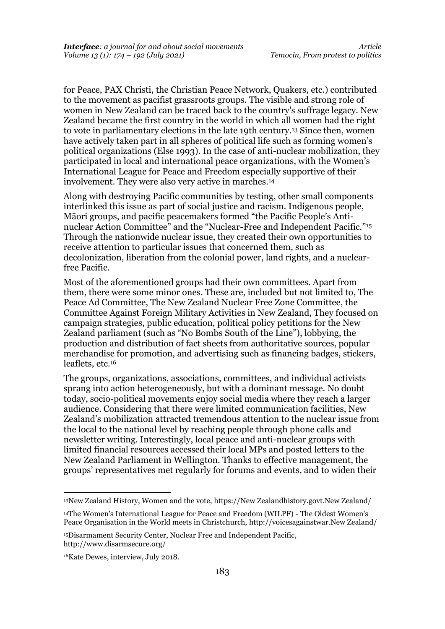for Peace, PAX Christi, the Christian Peace Network, Quakers, etc.) contributed to the movement as pacifist grassroots groups. The visible and strong role of women in New Zealand can be traced back to the country's suffrage legacy. New Zealand became the first country in the world in which all women had the right to vote in parliamentary elections in the late 19th century.<sup>13</sup> Since then, women have actively taken part in all spheres of political life such as forming women's political organizations (Else 1993). In the case of anti-nuclear mobilization, they participated in local and international peace organizations, with the Women's International League for Peace and Freedom especially supportive of their involvement. They were also very active in marches.<sup>14</sup>

Along with destroying Pacific communities by testing, other small components interlinked this issue as part of social justice and racism. Indigenous people, Māori groups, and pacific peacemakers formed "the Pacific People's Antinuclear Action Committee" and the "Nuclear-Free and Independent Pacific."<sup>15</sup> Through the nationwide nuclear issue, they created their own opportunities to receive attention to particular issues that concerned them, such as decolonization, liberation from the colonial power, land rights, and a nuclearfree Pacific.

Most of the aforementioned groups had their own committees. Apart from them, there were some minor ones. These are, included but not limited to, The Peace Ad Committee, The New Zealand Nuclear Free Zone Committee, the Committee Against Foreign Military Activities in New Zealand, They focused on campaign strategies, public education, political policy petitions for the New Zealand parliament (such as "No Bombs South of the Line"), lobbying, the production and distribution of fact sheets from authoritative sources, popular merchandise for promotion, and advertising such as financing badges, stickers, leaflets, etc.<sup>16</sup>

The groups, organizations, associations, committees, and individual activists sprang into action heterogeneously, but with a dominant message. No doubt today, socio-political movements enjoy social media where they reach a larger audience. Considering that there were limited communication facilities, New Zealand's mobilization attracted tremendous attention to the nuclear issue from the local to the national level by reaching people through phone calls and newsletter writing. Interestingly, local peace and anti-nuclear groups with limited financial resources accessed their local MPs and posted letters to the New Zealand Parliament in Wellington. Thanks to effective management, the groups' representatives met regularly for forums and events, and to widen their

<sup>13</sup>New Zealand History, Women and the vote, [https://New Zealandhistory.govt.New Zealand/](https://nzhistory.govt.nz/)

<sup>14</sup>The Women's International League for Peace and Freedom (WILPF) - The Oldest Women's Peace Organisation in the World meets in Christchurch, [http://voicesagainstwar.New Zealand/](http://voicesagainstwar.nz/)

<sup>15</sup>Disarmament Security Center, Nuclear Free and Independent Pacific, <http://www.disarmsecure.org/>

<sup>16</sup>Kate Dewes, interview, July 2018.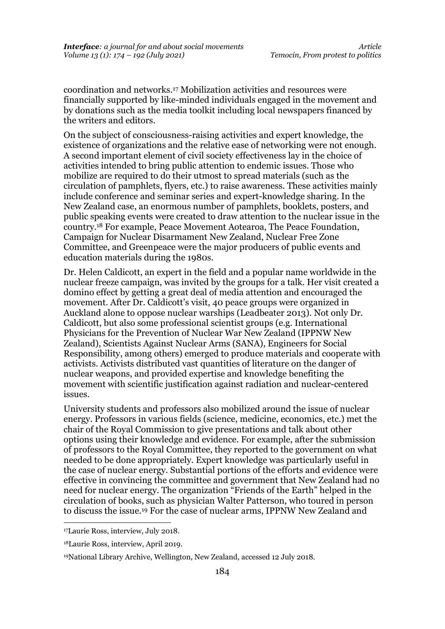coordination and networks.<sup>17</sup> Mobilization activities and resources were financially supported by like-minded individuals engaged in the movement and by donations such as the media toolkit including local newspapers financed by the writers and editors.

On the subject of consciousness-raising activities and expert knowledge, the existence of organizations and the relative ease of networking were not enough. A second important element of civil society effectiveness lay in the choice of activities intended to bring public attention to endemic issues. Those who mobilize are required to do their utmost to spread materials (such as the circulation of pamphlets, flyers, etc.) to raise awareness. These activities mainly include conference and seminar series and expert-knowledge sharing. In the New Zealand case, an enormous number of pamphlets, booklets, posters, and public speaking events were created to draw attention to the nuclear issue in the country.<sup>18</sup> For example, Peace Movement Aotearoa, The Peace Foundation, Campaign for Nuclear Disarmament New Zealand, Nuclear Free Zone Committee, and Greenpeace were the major producers of public events and education materials during the 1980s.

Dr. Helen Caldicott, an expert in the field and a popular name worldwide in the nuclear freeze campaign, was invited by the groups for a talk. Her visit created a domino effect by getting a great deal of media attention and encouraged the movement. After Dr. Caldicott's visit, 40 peace groups were organized in Auckland alone to oppose nuclear warships (Leadbeater 2013). Not only Dr. Caldicott, but also some professional scientist groups (e.g. International Physicians for the Prevention of Nuclear War New Zealand (IPPNW New Zealand), Scientists Against Nuclear Arms (SANA), Engineers for Social Responsibility, among others) emerged to produce materials and cooperate with activists. Activists distributed vast quantities of literature on the danger of nuclear weapons, and provided expertise and knowledge benefiting the movement with scientific justification against radiation and nuclear-centered issues.

University students and professors also mobilized around the issue of nuclear energy. Professors in various fields (science, medicine, economics, etc.) met the chair of the Royal Commission to give presentations and talk about other options using their knowledge and evidence. For example, after the submission of professors to the Royal Committee, they reported to the government on what needed to be done appropriately. Expert knowledge was particularly useful in the case of nuclear energy. Substantial portions of the efforts and evidence were effective in convincing the committee and government that New Zealand had no need for nuclear energy. The organization "Friends of the Earth" helped in the circulation of books, such as physician Walter Patterson, who toured in person to discuss the issue.<sup>19</sup> For the case of nuclear arms, IPPNW New Zealand and

<sup>17</sup>Laurie Ross, interview, July 2018.

<sup>18</sup>Laurie Ross, interview, April 2019.

<sup>19</sup>National Library Archive, Wellington, New Zealand, accessed 12 July 2018.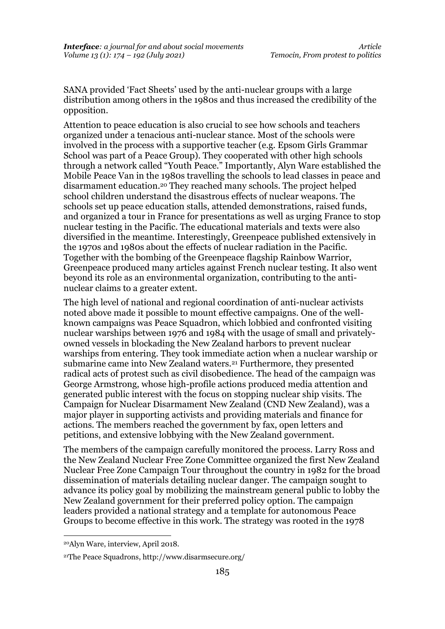SANA provided 'Fact Sheets' used by the anti-nuclear groups with a large distribution among others in the 1980s and thus increased the credibility of the opposition.

Attention to peace education is also crucial to see how schools and teachers organized under a tenacious anti-nuclear stance. Most of the schools were involved in the process with a supportive teacher (e.g. Epsom Girls Grammar School was part of a Peace Group). They cooperated with other high schools through a network called "Youth Peace." Importantly, Alyn Ware established the Mobile Peace Van in the 1980s travelling the schools to lead classes in peace and disarmament education.<sup>20</sup> They reached many schools. The project helped school children understand the disastrous effects of nuclear weapons. The schools set up peace education stalls, attended demonstrations, raised funds, and organized a tour in France for presentations as well as urging France to stop nuclear testing in the Pacific. The educational materials and texts were also diversified in the meantime. Interestingly, Greenpeace published extensively in the 1970s and 1980s about the effects of nuclear radiation in the Pacific. Together with the bombing of the Greenpeace flagship Rainbow Warrior, Greenpeace produced many articles against French nuclear testing. It also went beyond its role as an environmental organization, contributing to the antinuclear claims to a greater extent.

The high level of national and regional coordination of anti-nuclear activists noted above made it possible to mount effective campaigns. One of the wellknown campaigns was Peace Squadron, which lobbied and confronted visiting nuclear warships between 1976 and 1984 with the usage of small and privatelyowned vessels in blockading the New Zealand harbors to prevent nuclear warships from entering. They took immediate action when a nuclear warship or submarine came into New Zealand waters.<sup>21</sup> Furthermore, they presented radical acts of protest such as civil disobedience. The head of the campaign was George Armstrong, whose high-profile actions produced media attention and generated public interest with the focus on stopping nuclear ship visits. The Campaign for Nuclear Disarmament New Zealand (CND New Zealand), was a major player in supporting activists and providing materials and finance for actions. The members reached the government by fax, open letters and petitions, and extensive lobbying with the New Zealand government.

The members of the campaign carefully monitored the process. Larry Ross and the New Zealand Nuclear Free Zone Committee organized the first New Zealand Nuclear Free Zone Campaign Tour throughout the country in 1982 for the broad dissemination of materials detailing nuclear danger. The campaign sought to advance its policy goal by mobilizing the mainstream general public to lobby the New Zealand government for their preferred policy option. The campaign leaders provided a national strategy and a template for autonomous Peace Groups to become effective in this work. The strategy was rooted in the 1978

<sup>20</sup>Alyn Ware, interview, April 2018.

<sup>21</sup>The Peace Squadrons,<http://www.disarmsecure.org/>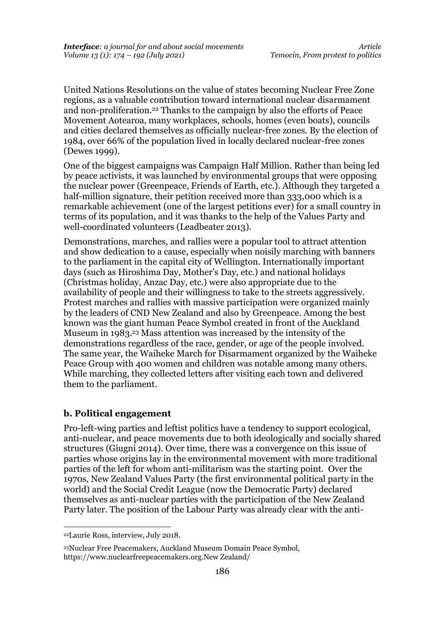United Nations Resolutions on the value of states becoming Nuclear Free Zone regions, as a valuable contribution toward international nuclear disarmament and non-proliferation.<sup>22</sup> Thanks to the campaign by also the efforts of Peace Movement Aotearoa, many workplaces, schools, homes (even boats), councils and cities declared themselves as officially nuclear-free zones. By the election of 1984, over 66% of the population lived in locally declared nuclear-free zones (Dewes 1999).

One of the biggest campaigns was Campaign Half Million. Rather than being led by peace activists, it was launched by environmental groups that were opposing the nuclear power (Greenpeace, Friends of Earth, etc.). Although they targeted a half-million signature, their petition received more than 333,000 which is a remarkable achievement (one of the largest petitions ever) for a small country in terms of its population, and it was thanks to the help of the Values Party and well-coordinated volunteers (Leadbeater 2013).

Demonstrations, marches, and rallies were a popular tool to attract attention and show dedication to a cause, especially when noisily marching with banners to the parliament in the capital city of Wellington. Internationally important days (such as Hiroshima Day, Mother's Day, etc.) and national holidays (Christmas holiday, Anzac Day, etc.) were also appropriate due to the availability of people and their willingness to take to the streets aggressively. Protest marches and rallies with massive participation were organized mainly by the leaders of CND New Zealand and also by Greenpeace. Among the best known was the giant human Peace Symbol created in front of the Auckland Museum in 1983.<sup>23</sup> Mass attention was increased by the intensity of the demonstrations regardless of the race, gender, or age of the people involved. The same year, the Waiheke March for Disarmament organized by the Waiheke Peace Group with 400 women and children was notable among many others. While marching, they collected letters after visiting each town and delivered them to the parliament.

#### **b. Political engagement**

Pro-left-wing parties and leftist politics have a tendency to support ecological, anti-nuclear, and peace movements due to both ideologically and socially shared structures (Giugni 2014). Over time, there was a convergence on this issue of parties whose origins lay in the environmental movement with more traditional parties of the left for whom anti-militarism was the starting point. Over the 1970s, New Zealand Values Party (the first environmental political party in the world) and the Social Credit League (now the Democratic Party) declared themselves as anti-nuclear parties with the participation of the New Zealand Party later. The position of the Labour Party was already clear with the anti-

<sup>22</sup>Laurie Ross, interview, July 2018.

<sup>23</sup>Nuclear Free Peacemakers, Auckland Museum Domain Peace Symbol, [https://www.nuclearfreepeacemakers.org.New Zealand/](https://www.nuclearfreepeacemakers.org.nz/)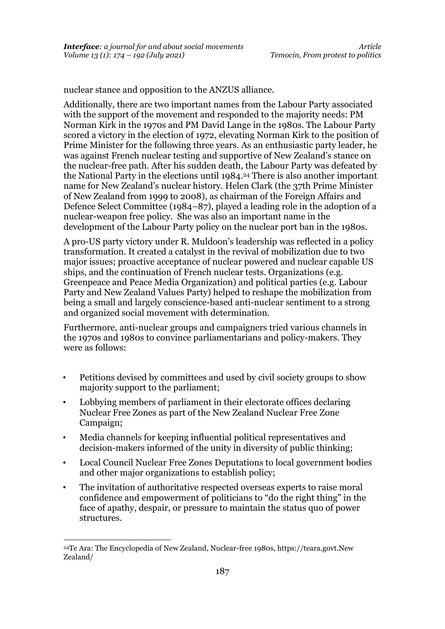nuclear stance and opposition to the ANZUS alliance.

Additionally, there are two important names from the Labour Party associated with the support of the movement and responded to the majority needs: PM Norman Kirk in the 1970s and PM David Lange in the 1980s. The Labour Party scored a victory in the election of 1972, elevating Norman Kirk to the position of Prime Minister for the following three years. As an enthusiastic party leader, he was against French nuclear testing and supportive of New Zealand's stance on the nuclear-free path. After his sudden death, the Labour Party was defeated by the National Party in the elections until 1984.<sup>24</sup> There is also another important name for New Zealand's nuclear history. Helen Clark (the 37th Prime Minister of New Zealand from 1999 to 2008), as chairman of the Foreign Affairs and Defence Select Committee (1984–87), played a leading role in the adoption of a nuclear-weapon free policy. She was also an important name in the development of the Labour Party policy on the nuclear port ban in the 1980s.

A pro-US party victory under R. Muldoon's leadership was reflected in a policy transformation. It created a catalyst in the revival of mobilization due to two major issues; proactive acceptance of nuclear powered and nuclear capable US ships, and the continuation of French nuclear tests. Organizations (e.g. Greenpeace and Peace Media Organization) and political parties (e.g. Labour Party and New Zealand Values Party) helped to reshape the mobilization from being a small and largely conscience-based anti-nuclear sentiment to a strong and organized social movement with determination.

Furthermore, anti-nuclear groups and campaigners tried various channels in the 1970s and 1980s to convince parliamentarians and policy-makers. They were as follows:

- Petitions devised by committees and used by civil society groups to show majority support to the parliament;
- Lobbying members of parliament in their electorate offices declaring Nuclear Free Zones as part of the New Zealand Nuclear Free Zone Campaign;
- Media channels for keeping influential political representatives and decision-makers informed of the unity in diversity of public thinking;
- Local Council Nuclear Free Zones Deputations to local government bodies and other major organizations to establish policy;
- The invitation of authoritative respected overseas experts to raise moral confidence and empowerment of politicians to "do the right thing" in the face of apathy, despair, or pressure to maintain the status quo of power structures.

<sup>24</sup>Te Ara: The Encyclopedia of New Zealand, Nuclear-free 1980s, [https://teara.govt.New](https://teara.govt.nz/)  [Zealand/](https://teara.govt.nz/)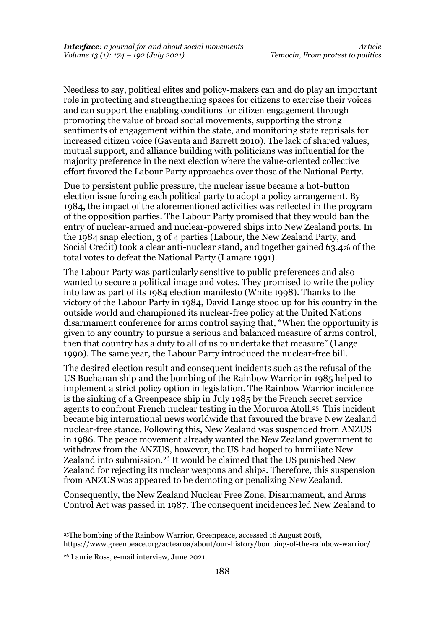Needless to say, political elites and policy-makers can and do play an important role in protecting and strengthening spaces for citizens to exercise their voices and can support the enabling conditions for citizen engagement through promoting the value of broad social movements, supporting the strong sentiments of engagement within the state, and monitoring state reprisals for increased citizen voice (Gaventa and Barrett 2010). The lack of shared values, mutual support, and alliance building with politicians was influential for the majority preference in the next election where the value-oriented collective effort favored the Labour Party approaches over those of the National Party.

Due to persistent public pressure, the nuclear issue became a hot-button election issue forcing each political party to adopt a policy arrangement. By 1984, the impact of the aforementioned activities was reflected in the program of the opposition parties. The Labour Party promised that they would ban the entry of nuclear-armed and nuclear-powered ships into New Zealand ports. In the 1984 snap election, 3 of 4 parties (Labour, the New Zealand Party, and Social Credit) took a clear anti-nuclear stand, and together gained 63.4% of the total votes to defeat the National Party (Lamare 1991).

The Labour Party was particularly sensitive to public preferences and also wanted to secure a political image and votes. They promised to write the policy into law as part of its 1984 election manifesto (White 1998). Thanks to the victory of the Labour Party in 1984, David Lange stood up for his country in the outside world and championed its nuclear-free policy at the United Nations disarmament conference for arms control saying that, "When the opportunity is given to any country to pursue a serious and balanced measure of arms control, then that country has a duty to all of us to undertake that measure" (Lange 1990). The same year, the Labour Party introduced the nuclear-free bill.

The desired election result and consequent incidents such as the refusal of the US Buchanan ship and the bombing of the Rainbow Warrior in 1985 helped to implement a strict policy option in legislation. The Rainbow Warrior incidence is the sinking of a Greenpeace ship in July 1985 by the French secret service agents to confront French nuclear testing in the Moruroa Atoll.<sup>25</sup> This incident became big international news worldwide that favoured the brave New Zealand nuclear-free stance. Following this, New Zealand was suspended from ANZUS in 1986. The peace movement already wanted the New Zealand government to withdraw from the ANZUS, however, the US had hoped to humiliate New Zealand into submission.<sup>26</sup> It would be claimed that the US punished New Zealand for rejecting its nuclear weapons and ships. Therefore, this suspension from ANZUS was appeared to be demoting or penalizing New Zealand.

Consequently, the New Zealand Nuclear Free Zone, Disarmament, and Arms Control Act was passed in 1987. The consequent incidences led New Zealand to

<sup>25</sup>The bombing of the Rainbow Warrior, Greenpeace, accessed 16 August 2018, <https://www.greenpeace.org/aotearoa/about/our-history/bombing-of-the-rainbow-warrior/>

<sup>26</sup> Laurie Ross, e-mail interview, June 2021.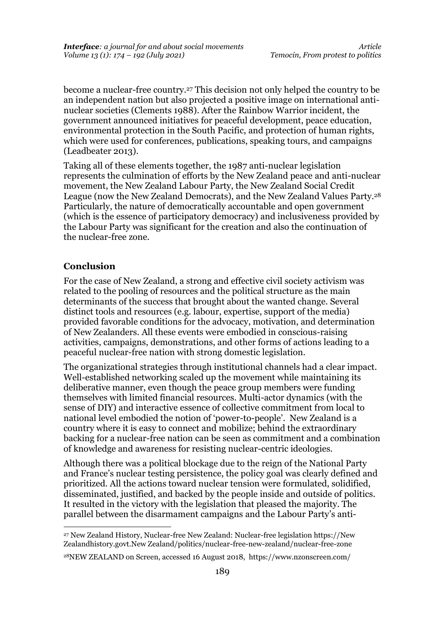become a nuclear-free country.<sup>27</sup> This decision not only helped the country to be an independent nation but also projected a positive image on international antinuclear societies (Clements 1988). After the Rainbow Warrior incident, the government announced initiatives for peaceful development, peace education, environmental protection in the South Pacific, and protection of human rights, which were used for conferences, publications, speaking tours, and campaigns (Leadbeater 2013).

Taking all of these elements together, the 1987 anti-nuclear legislation represents the culmination of efforts by the New Zealand peace and anti-nuclear movement, the New Zealand Labour Party, the New Zealand Social Credit League (now the New Zealand Democrats), and the New Zealand Values Party.<sup>28</sup> Particularly, the nature of democratically accountable and open government (which is the essence of participatory democracy) and inclusiveness provided by the Labour Party was significant for the creation and also the continuation of the nuclear-free zone.

#### **Conclusion**

For the case of New Zealand, a strong and effective civil society activism was related to the pooling of resources and the political structure as the main determinants of the success that brought about the wanted change. Several distinct tools and resources (e.g. labour, expertise, support of the media) provided favorable conditions for the advocacy, motivation, and determination of New Zealanders. All these events were embodied in conscious-raising activities, campaigns, demonstrations, and other forms of actions leading to a peaceful nuclear-free nation with strong domestic legislation.

The organizational strategies through institutional channels had a clear impact. Well-established networking scaled up the movement while maintaining its deliberative manner, even though the peace group members were funding themselves with limited financial resources. Multi-actor dynamics (with the sense of DIY) and interactive essence of collective commitment from local to national level embodied the notion of 'power-to-people'. New Zealand is a country where it is easy to connect and mobilize; behind the extraordinary backing for a nuclear-free nation can be seen as commitment and a combination of knowledge and awareness for resisting nuclear-centric ideologies.

Although there was a political blockage due to the reign of the National Party and France's nuclear testing persistence, the policy goal was clearly defined and prioritized. All the actions toward nuclear tension were formulated, solidified, disseminated, justified, and backed by the people inside and outside of politics. It resulted in the victory with the legislation that pleased the majority. The parallel between the disarmament campaigns and the Labour Party's anti-

<sup>27</sup> New Zealand History, Nuclear-free New Zealand: Nuclear-free legislation https://New Zealandhistory.govt.New Zealand/politics/nuclear-free-new-zealand/nuclear-free-zone

<sup>28</sup>NEW ZEALAND on Screen, accessed 16 August 2018, https://www.nzonscreen.com/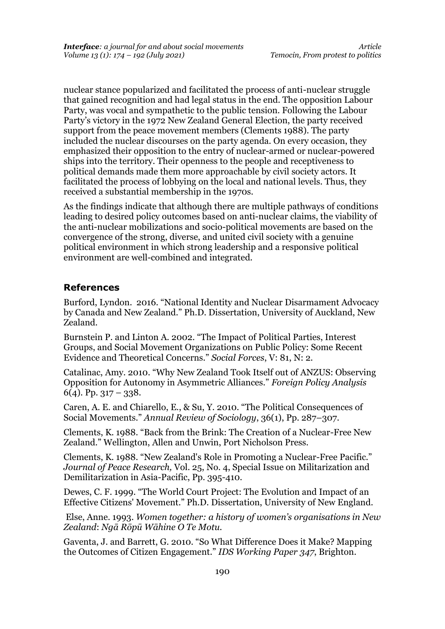nuclear stance popularized and facilitated the process of anti-nuclear struggle that gained recognition and had legal status in the end. The opposition Labour Party, was vocal and sympathetic to the public tension. Following the Labour Party's victory in the 1972 New Zealand General Election, the party received support from the peace movement members (Clements 1988). The party included the nuclear discourses on the party agenda. On every occasion, they emphasized their opposition to the entry of nuclear-armed or nuclear-powered ships into the territory. Their openness to the people and receptiveness to political demands made them more approachable by civil society actors. It facilitated the process of lobbying on the local and national levels. Thus, they received a substantial membership in the 1970s.

As the findings indicate that although there are multiple pathways of conditions leading to desired policy outcomes based on anti-nuclear claims, the viability of the anti-nuclear mobilizations and socio-political movements are based on the convergence of the strong, diverse, and united civil society with a genuine political environment in which strong leadership and a responsive political environment are well-combined and integrated.

#### **References**

Burford, Lyndon. 2016. "National Identity and Nuclear Disarmament Advocacy by Canada and New Zealand." Ph.D. Dissertation, University of Auckland, New Zealand.

Burnstein P. and Linton A. 2002. "The Impact of Political Parties, Interest Groups, and Social Movement Organizations on Public Policy: Some Recent Evidence and Theoretical Concerns." *Social Forces*, V: 81, N: 2.

Catalinac, Amy. 2010. "Why New Zealand Took Itself out of ANZUS: Observing Opposition for Autonomy in Asymmetric Alliances." *Foreign Policy Analysis* 6(4). Pp.  $317 - 338$ .

Caren, A. E. and Chiarello, E., & Su, Y. 2010. "The Political Consequences of Social Movements." *Annual Review of Sociology*, 36(1), Pp. 287–307.

Clements, K. 1988. "Back from the Brink: The Creation of a Nuclear-Free New Zealand." Wellington, Allen and Unwin, Port Nicholson Press.

Clements, K. 1988. "New Zealand's Role in Promoting a Nuclear-Free Pacific." *Journal of Peace Research,* Vol. 25, No. 4, Special Issue on Militarization and Demilitarization in Asia-Pacific, Pp. 395-410.

Dewes, C. F. 1999. "The World Court Project: The Evolution and Impact of an Effective Citizens' Movement." Ph.D. Dissertation, University of New England.

 Else, Anne. 1993. *Women together: a history of women's organisations in New Zealand*: *Ngā Rōpū Wāhine O Te Motu.*

Gaventa, J. and Barrett, G. 2010. "So What Difference Does it Make? Mapping the Outcomes of Citizen Engagement." *IDS Working Paper 347*, Brighton.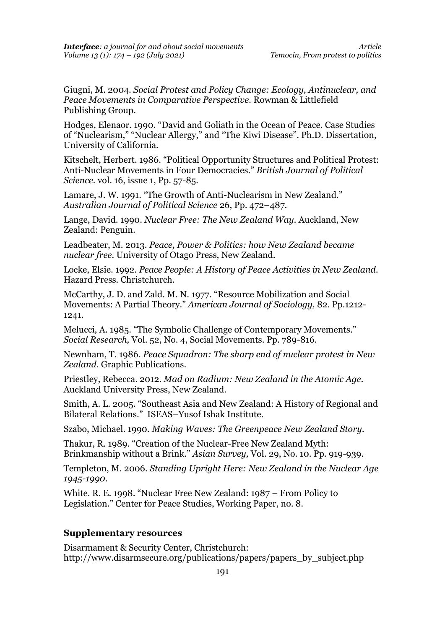Giugni, M. 2004. *Social Protest and Policy Change: Ecology, Antinuclear, and Peace Movements in Comparative Perspective.* Rowman & Littlefield Publishing Group.

Hodges, Elenaor. 1990. "David and Goliath in the Ocean of Peace. Case Studies of "Nuclearism," "Nuclear Allergy," and "The Kiwi Disease". Ph.D. Dissertation, University of California.

Kitschelt, Herbert. 1986. "Political Opportunity Structures and Political Protest: Anti-Nuclear Movements in Four Democracies." *British Journal of Political Science.* vol. 16, issue 1, Pp. 57-85.

Lamare, J. W. 1991. "The Growth of Anti-Nuclearism in New Zealand." *Australian Journal of Political Science* 26, Pp. 472–487.

Lange, David. 1990. *Nuclear Free: The New Zealand Way.* Auckland, New Zealand: Penguin.

Leadbeater, M. 2013. *Peace, Power & Politics: how New Zealand became nuclear free.* University of Otago Press, New Zealand.

Locke, Elsie. 1992. *Peace People: A History of Peace Activities in New Zealand.* Hazard Press. Christchurch.

McCarthy, J. D. and Zald. M. N. 1977. "Resource Mobilization and Social Movements: A Partial Theory." *American Journal of Sociology,* 82. Pp.1212- 1241.

Melucci, A. 1985. "The Symbolic Challenge of Contemporary Movements." *Social Research,* Vol. 52, No. 4, Social Movements. Pp. 789-816.

Newnham, T. 1986. *Peace Squadron: The sharp end of nuclear protest in New Zealand.* Graphic Publications.

Priestley, Rebecca. 2012. *Mad on Radium: New Zealand in the Atomic Age.* Auckland University Press, New Zealand.

Smith, A. L. 2005. "Southeast Asia and New Zealand: A History of Regional and Bilateral Relations." ISEAS–Yusof Ishak Institute.

Szabo, Michael. 1990. *Making Waves: The Greenpeace New Zealand Story.*

Thakur, R. 1989. "Creation of the Nuclear-Free New Zealand Myth: Brinkmanship without a Brink." *Asian Survey,* Vol. 29, No. 10. Pp. 919-939.

Templeton, M. 2006. *Standing Upright Here: New Zealand in the Nuclear Age 1945-1990.*

White. R. E. 1998. "Nuclear Free New Zealand: 1987 – From Policy to Legislation." Center for Peace Studies, Working Paper, no. 8.

#### **Supplementary resources**

Disarmament & Security Center, Christchurch: http://www.disarmsecure.org/publications/papers/papers\_by\_subject.php